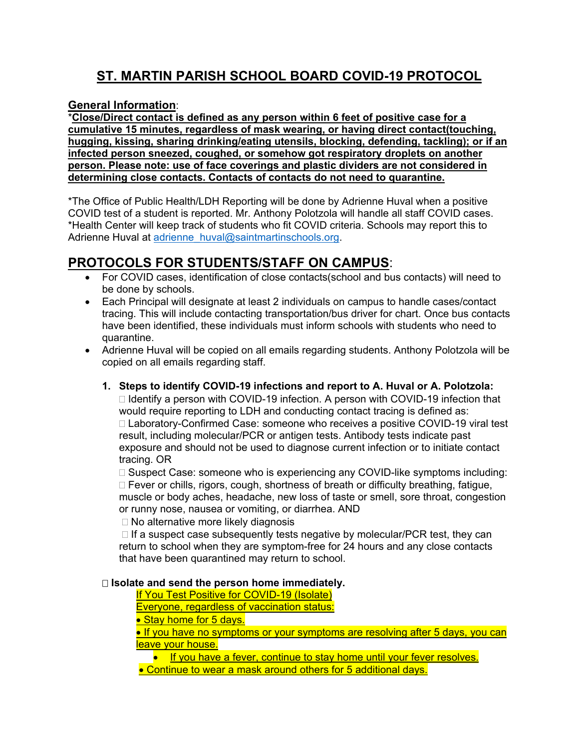# **ST. MARTIN PARISH SCHOOL BOARD COVID-19 PROTOCOL**

### **General Information**:

\***Close/Direct contact is defined as any person within 6 feet of positive case for a cumulative 15 minutes, regardless of mask wearing, or having direct contact(touching, hugging, kissing, sharing drinking/eating utensils, blocking, defending, tackling); or if an infected person sneezed, coughed, or somehow got respiratory droplets on another person. Please note: use of face coverings and plastic dividers are not considered in determining close contacts. Contacts of contacts do not need to quarantine.** 

\*The Office of Public Health/LDH Reporting will be done by Adrienne Huval when a positive COVID test of a student is reported. Mr. Anthony Polotzola will handle all staff COVID cases. \*Health Center will keep track of students who fit COVID criteria. Schools may report this to Adrienne Huval at adrienne\_huval@saintmartinschools.org.

## **PROTOCOLS FOR STUDENTS/STAFF ON CAMPUS**:

- For COVID cases, identification of close contacts(school and bus contacts) will need to be done by schools.
- Each Principal will designate at least 2 individuals on campus to handle cases/contact tracing. This will include contacting transportation/bus driver for chart. Once bus contacts have been identified, these individuals must inform schools with students who need to quarantine.
- Adrienne Huval will be copied on all emails regarding students. Anthony Polotzola will be copied on all emails regarding staff.
	- **1. Steps to identify COVID-19 infections and report to A. Huval or A. Polotzola:**   $\Box$  Identify a person with COVID-19 infection. A person with COVID-19 infection that would require reporting to LDH and conducting contact tracing is defined as: □ Laboratory-Confirmed Case: someone who receives a positive COVID-19 viral test result, including molecular/PCR or antigen tests. Antibody tests indicate past exposure and should not be used to diagnose current infection or to initiate contact tracing. OR

□ Suspect Case: someone who is experiencing any COVID-like symptoms including: □ Fever or chills, rigors, cough, shortness of breath or difficulty breathing, fatigue, muscle or body aches, headache, new loss of taste or smell, sore throat, congestion or runny nose, nausea or vomiting, or diarrhea. AND

 $\Box$  No alternative more likely diagnosis

 $\Box$  If a suspect case subsequently tests negative by molecular/PCR test, they can return to school when they are symptom-free for 24 hours and any close contacts that have been quarantined may return to school.

#### **Isolate and send the person home immediately.**

If You Test Positive for COVID-19 (Isolate)

Everyone, regardless of vaccination status:

• Stay home for 5 days.

• If you have no symptoms or your symptoms are resolving after 5 days, you can leave your house.

• If you have a fever, continue to stay home until your fever resolves.

• Continue to wear a mask around others for 5 additional days.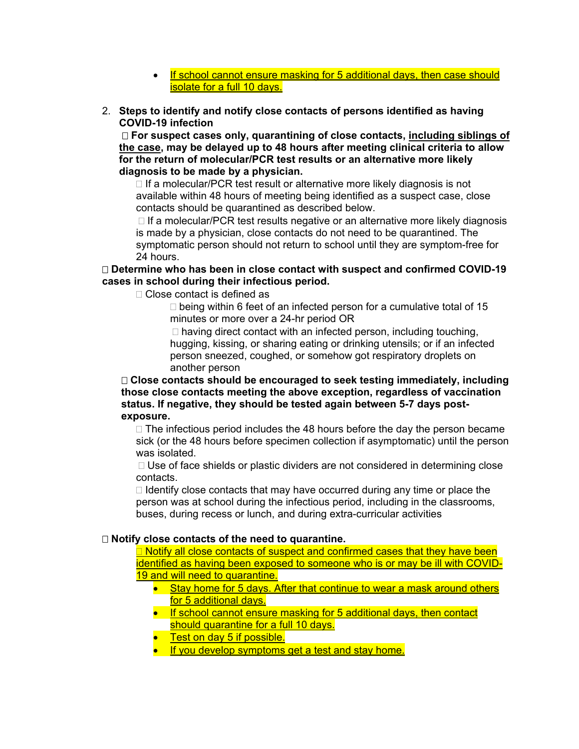- If school cannot ensure masking for 5 additional days, then case should isolate for a full 10 days.
- 2. **Steps to identify and notify close contacts of persons identified as having COVID-19 infection**

 **For suspect cases only, quarantining of close contacts, including siblings of the case, may be delayed up to 48 hours after meeting clinical criteria to allow for the return of molecular/PCR test results or an alternative more likely diagnosis to be made by a physician.**

 $\Box$  If a molecular/PCR test result or alternative more likely diagnosis is not available within 48 hours of meeting being identified as a suspect case, close contacts should be quarantined as described below.

 $\Box$  If a molecular/PCR test results negative or an alternative more likely diagnosis is made by a physician, close contacts do not need to be quarantined. The symptomatic person should not return to school until they are symptom-free for 24 hours.

#### **Determine who has been in close contact with suspect and confirmed COVID-19 cases in school during their infectious period.**

□ Close contact is defined as

 $\Box$  being within 6 feet of an infected person for a cumulative total of 15 minutes or more over a 24-hr period OR

 $\Box$  having direct contact with an infected person, including touching, hugging, kissing, or sharing eating or drinking utensils; or if an infected person sneezed, coughed, or somehow got respiratory droplets on another person

#### **Close contacts should be encouraged to seek testing immediately, including those close contacts meeting the above exception, regardless of vaccination status. If negative, they should be tested again between 5-7 days postexposure.**

 $\Box$  The infectious period includes the 48 hours before the day the person became sick (or the 48 hours before specimen collection if asymptomatic) until the person was isolated.

 $\Box$  Use of face shields or plastic dividers are not considered in determining close contacts.

 $\Box$  Identify close contacts that may have occurred during any time or place the person was at school during the infectious period, including in the classrooms, buses, during recess or lunch, and during extra-curricular activities

#### **Notify close contacts of the need to quarantine.**

 $\Box$  Notify all close contacts of suspect and confirmed cases that they have been identified as having been exposed to someone who is or may be ill with COVID-19 and will need to quarantine.

- Stay home for 5 days. After that continue to wear a mask around others for 5 additional days.
- If school cannot ensure masking for 5 additional days, then contact should quarantine for a full 10 days.
- Test on day 5 if possible.
- If you develop symptoms get a test and stay home.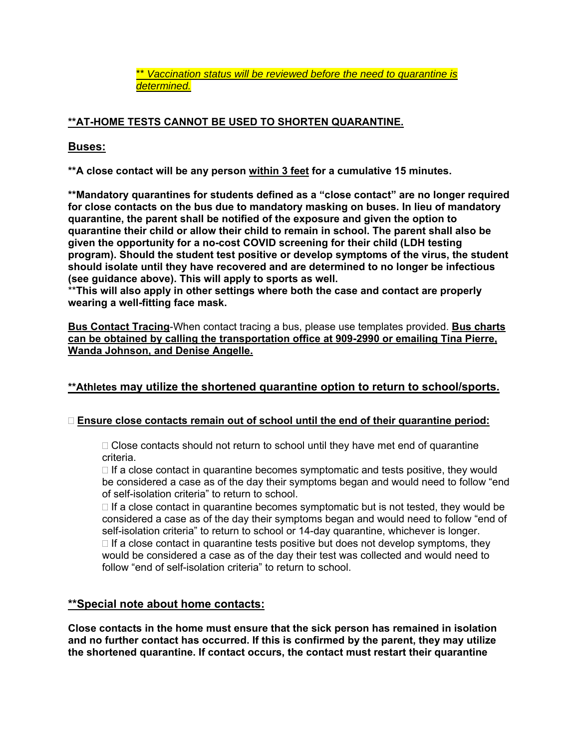\*\* *Vaccination status will be reviewed before the need to quarantine is determined.* 

### **\*\*AT-HOME TESTS CANNOT BE USED TO SHORTEN QUARANTINE.**

### **Buses:**

**\*\*A close contact will be any person within 3 feet for a cumulative 15 minutes.** 

**\*\*Mandatory quarantines for students defined as a "close contact" are no longer required for close contacts on the bus due to mandatory masking on buses. In lieu of mandatory quarantine, the parent shall be notified of the exposure and given the option to quarantine their child or allow their child to remain in school. The parent shall also be given the opportunity for a no-cost COVID screening for their child (LDH testing program). Should the student test positive or develop symptoms of the virus, the student should isolate until they have recovered and are determined to no longer be infectious (see guidance above). This will apply to sports as well.** 

\*\***This will also apply in other settings where both the case and contact are properly wearing a well-fitting face mask.** 

**Bus Contact Tracing**-When contact tracing a bus, please use templates provided. **Bus charts can be obtained by calling the transportation office at 909-2990 or emailing Tina Pierre, Wanda Johnson, and Denise Angelle.** 

### **\*\*Athletes may utilize the shortened quarantine option to return to school/sports.**

### **Ensure close contacts remain out of school until the end of their quarantine period:**

 $\Box$  Close contacts should not return to school until they have met end of quarantine criteria.

 $\Box$  If a close contact in quarantine becomes symptomatic and tests positive, they would be considered a case as of the day their symptoms began and would need to follow "end of self-isolation criteria" to return to school.

 $\Box$  If a close contact in quarantine becomes symptomatic but is not tested, they would be considered a case as of the day their symptoms began and would need to follow "end of self-isolation criteria" to return to school or 14-day quarantine, whichever is longer.  $\Box$  If a close contact in quarantine tests positive but does not develop symptoms, they would be considered a case as of the day their test was collected and would need to follow "end of self-isolation criteria" to return to school.

### **\*\*Special note about home contacts:**

**Close contacts in the home must ensure that the sick person has remained in isolation and no further contact has occurred. If this is confirmed by the parent, they may utilize the shortened quarantine. If contact occurs, the contact must restart their quarantine**